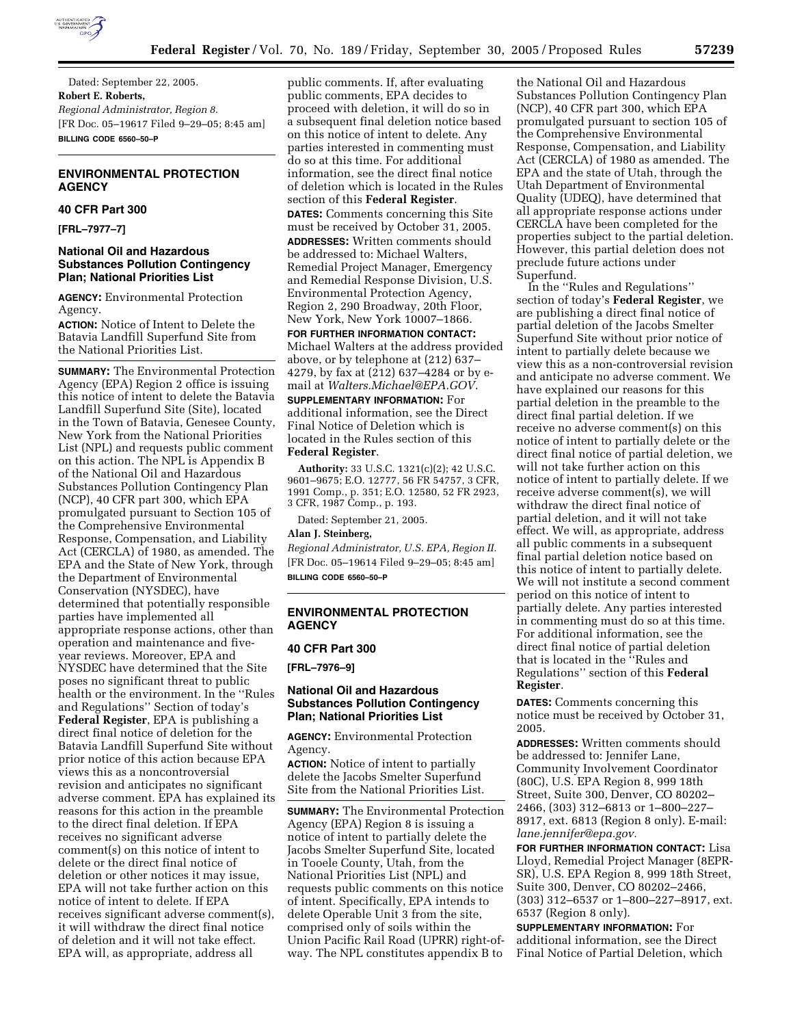

Dated: September 22, 2005. **Robert E. Roberts,**  *Regional Administrator, Region 8.*  [FR Doc. 05–19617 Filed 9–29–05; 8:45 am] **BILLING CODE 6560–50–P** 

# **ENVIRONMENTAL PROTECTION AGENCY**

#### **40 CFR Part 300**

**[FRL–7977–7]** 

## **National Oil and Hazardous Substances Pollution Contingency Plan; National Priorities List**

**AGENCY:** Environmental Protection Agency.

**ACTION:** Notice of Intent to Delete the Batavia Landfill Superfund Site from the National Priorities List.

**SUMMARY:** The Environmental Protection Agency (EPA) Region 2 office is issuing this notice of intent to delete the Batavia Landfill Superfund Site (Site), located in the Town of Batavia, Genesee County, New York from the National Priorities List (NPL) and requests public comment on this action. The NPL is Appendix B of the National Oil and Hazardous Substances Pollution Contingency Plan (NCP), 40 CFR part 300, which EPA promulgated pursuant to Section 105 of the Comprehensive Environmental Response, Compensation, and Liability Act (CERCLA) of 1980, as amended. The EPA and the State of New York, through the Department of Environmental Conservation (NYSDEC), have determined that potentially responsible parties have implemented all appropriate response actions, other than operation and maintenance and fiveyear reviews. Moreover, EPA and NYSDEC have determined that the Site poses no significant threat to public health or the environment. In the ''Rules and Regulations'' Section of today's **Federal Register**, EPA is publishing a direct final notice of deletion for the Batavia Landfill Superfund Site without prior notice of this action because EPA views this as a noncontroversial revision and anticipates no significant adverse comment. EPA has explained its reasons for this action in the preamble to the direct final deletion. If EPA receives no significant adverse comment(s) on this notice of intent to delete or the direct final notice of deletion or other notices it may issue, EPA will not take further action on this notice of intent to delete. If EPA receives significant adverse comment(s), it will withdraw the direct final notice of deletion and it will not take effect. EPA will, as appropriate, address all

public comments. If, after evaluating public comments, EPA decides to proceed with deletion, it will do so in a subsequent final deletion notice based on this notice of intent to delete. Any parties interested in commenting must do so at this time. For additional information, see the direct final notice of deletion which is located in the Rules section of this **Federal Register**. **DATES:** Comments concerning this Site must be received by October 31, 2005. **ADDRESSES:** Written comments should be addressed to: Michael Walters, Remedial Project Manager, Emergency and Remedial Response Division, U.S. Environmental Protection Agency, Region 2, 290 Broadway, 20th Floor, New York, New York 10007–1866.

**FOR FURTHER INFORMATION CONTACT:**  Michael Walters at the address provided above, or by telephone at (212) 637– 4279, by fax at (212) 637–4284 or by email at *Walters.Michael@EPA.GOV*.

**SUPPLEMENTARY INFORMATION:** For additional information, see the Direct Final Notice of Deletion which is located in the Rules section of this **Federal Register**.

**Authority:** 33 U.S.C. 1321(c)(2); 42 U.S.C. 9601–9675; E.O. 12777, 56 FR 54757, 3 CFR, 1991 Comp., p. 351; E.O. 12580, 52 FR 2923, 3 CFR, 1987 Comp., p. 193.

Dated: September 21, 2005.

# **Alan J. Steinberg,**

*Regional Administrator, U.S. EPA, Region II.*  [FR Doc. 05–19614 Filed 9–29–05; 8:45 am] **BILLING CODE 6560–50–P** 

## **ENVIRONMENTAL PROTECTION AGENCY**

#### **40 CFR Part 300**

**[FRL–7976–9]** 

# **National Oil and Hazardous Substances Pollution Contingency Plan; National Priorities List**

**AGENCY:** Environmental Protection Agency.

**ACTION:** Notice of intent to partially delete the Jacobs Smelter Superfund Site from the National Priorities List.

**SUMMARY:** The Environmental Protection Agency (EPA) Region 8 is issuing a notice of intent to partially delete the Jacobs Smelter Superfund Site, located in Tooele County, Utah, from the National Priorities List (NPL) and requests public comments on this notice of intent. Specifically, EPA intends to delete Operable Unit 3 from the site, comprised only of soils within the Union Pacific Rail Road (UPRR) right-ofway. The NPL constitutes appendix B to

the National Oil and Hazardous Substances Pollution Contingency Plan (NCP), 40 CFR part 300, which EPA promulgated pursuant to section 105 of the Comprehensive Environmental Response, Compensation, and Liability Act (CERCLA) of 1980 as amended. The EPA and the state of Utah, through the Utah Department of Environmental Quality (UDEQ), have determined that all appropriate response actions under CERCLA have been completed for the properties subject to the partial deletion. However, this partial deletion does not preclude future actions under Superfund.

In the ''Rules and Regulations'' section of today's **Federal Register**, we are publishing a direct final notice of partial deletion of the Jacobs Smelter Superfund Site without prior notice of intent to partially delete because we view this as a non-controversial revision and anticipate no adverse comment. We have explained our reasons for this partial deletion in the preamble to the direct final partial deletion. If we receive no adverse comment(s) on this notice of intent to partially delete or the direct final notice of partial deletion, we will not take further action on this notice of intent to partially delete. If we receive adverse comment(s), we will withdraw the direct final notice of partial deletion, and it will not take effect. We will, as appropriate, address all public comments in a subsequent final partial deletion notice based on this notice of intent to partially delete. We will not institute a second comment period on this notice of intent to partially delete. Any parties interested in commenting must do so at this time. For additional information, see the direct final notice of partial deletion that is located in the ''Rules and Regulations'' section of this **Federal Register**.

**DATES:** Comments concerning this notice must be received by October 31, 2005.

**ADDRESSES:** Written comments should be addressed to: Jennifer Lane, Community Involvement Coordinator (80C), U.S. EPA Region 8, 999 18th Street, Suite 300, Denver, CO 80202– 2466, (303) 312–6813 or 1–800–227– 8917, ext. 6813 (Region 8 only). E-mail: *lane.jennifer@epa.gov.* 

**FOR FURTHER INFORMATION CONTACT:** Lisa Lloyd, Remedial Project Manager (8EPR-SR), U.S. EPA Region 8, 999 18th Street, Suite 300, Denver, CO 80202–2466, (303) 312–6537 or 1–800–227–8917, ext. 6537 (Region 8 only).

**SUPPLEMENTARY INFORMATION:** For additional information, see the Direct Final Notice of Partial Deletion, which